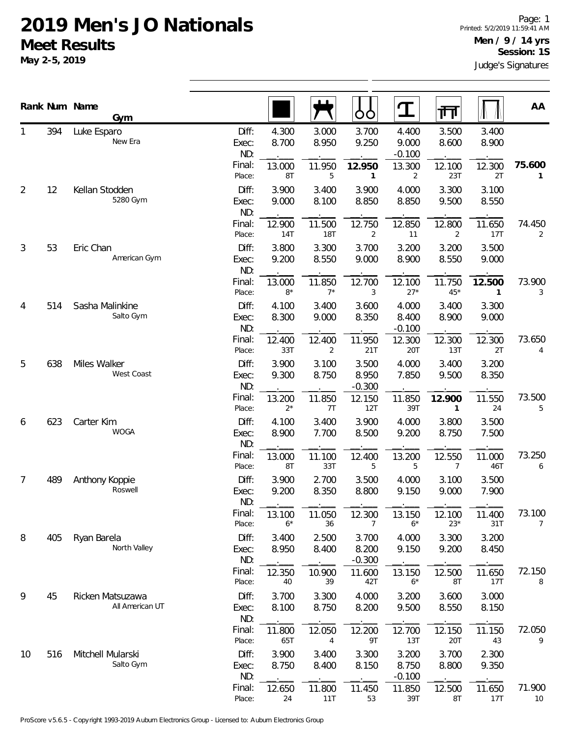**May 2-5, 2019**

|                |     | Rank Num Name<br>Gym                |                       |                 |                | ŌÒ                         | T                          | 帀                        |                        | AA           |
|----------------|-----|-------------------------------------|-----------------------|-----------------|----------------|----------------------------|----------------------------|--------------------------|------------------------|--------------|
| 1              | 394 | Luke Esparo<br>New Era              | Diff:<br>Exec:<br>ND: | 4.300<br>8.700  | 3.000<br>8.950 | 3.700<br>9.250             | 4.400<br>9.000<br>$-0.100$ | 3.500<br>8.600           | 3.400<br>8.900         |              |
|                |     |                                     | Final:<br>Place:      | 13.000<br>8T    | 11.950<br>5    | 12.950<br>1                | 13.300<br>2                | 12.100<br>23T            | 12.300<br>2T           | 75.600<br>1  |
| $\overline{2}$ | 12  | Kellan Stodden<br>5280 Gym          | Diff:<br>Exec:<br>ND: | 3.900<br>9.000  | 3.400<br>8.100 | 3.900<br>8.850             | 4.000<br>8.850             | 3.300<br>9.500           | 3.100<br>8.550         |              |
|                |     |                                     | Final:<br>Place:      | 12.900<br>14T   | 11.500<br>18T  | 12.750<br>2                | 12.850<br>11               | 12.800<br>2              | 11.650<br>17T          | 74.450<br>2  |
| 3              | 53  | Eric Chan<br>American Gym           | Diff:<br>Exec:<br>ND: | 3.800<br>9.200  | 3.300<br>8.550 | 3.700<br>9.000             | 3.200<br>8.900             | 3.200<br>8.550           | 3.500<br>9.000         |              |
|                |     |                                     | Final:<br>Place:      | 13.000<br>$8*$  | 11.850<br>$7*$ | 12.700<br>3                | 12.100<br>$27*$            | 11.750<br>$45*$          | 12.500<br>$\mathbf{1}$ | 73.900<br>3  |
| 4              | 514 | Sasha Malinkine<br>Salto Gym        | Diff:<br>Exec:<br>ND: | 4.100<br>8.300  | 3.400<br>9.000 | 3.600<br>8.350             | 4.000<br>8.400<br>$-0.100$ | 3.400<br>8.900           | 3.300<br>9.000         |              |
|                |     |                                     | Final:<br>Place:      | 12.400<br>33T   | 12.400<br>2    | 11.950<br>21T              | 12.300<br>20T              | 12.300<br>13T            | 12.300<br>2T           | 73.650<br>4  |
| 5              | 638 | Miles Walker<br>West Coast          | Diff:<br>Exec:<br>ND: | 3.900<br>9.300  | 3.100<br>8.750 | 3.500<br>8.950<br>$-0.300$ | 4.000<br>7.850             | 3.400<br>9.500           | 3.200<br>8.350         |              |
|                |     |                                     | Final:<br>Place:      | 13.200<br>$2^*$ | 11.850<br>7T   | 12.150<br>12T              | 11.850<br>39T              | 12.900<br>1              | 11.550<br>24           | 73.500<br>5  |
| 6              | 623 | Carter Kim<br><b>WOGA</b>           | Diff:<br>Exec:<br>ND: | 4.100<br>8.900  | 3.400<br>7.700 | 3.900<br>8.500             | 4.000<br>9.200             | 3.800<br>8.750           | 3.500<br>7.500         |              |
|                |     |                                     | Final:<br>Place:      | 13.000<br>8T    | 11.100<br>33T  | 12.400<br>5                | 13.200<br>5                | 12.550<br>$\overline{7}$ | 11.000<br>46T          | 73.250<br>6  |
| 7              | 489 | Anthony Koppie<br>Roswell           | Diff:<br>Exec:<br>ND: | 3.900<br>9.200  | 2.700<br>8.350 | 3.500<br>8.800             | 4.000<br>9.150             | 3.100<br>9.000           | 3.500<br>7.900         |              |
|                |     |                                     | Final:<br>Place:      | 13.100<br>$6*$  | 11.050<br>36   | 12.300<br>7                | 13.150<br>$6*$             | 12.100<br>$23*$          | 11.400<br>31T          | 73.100<br>7  |
| 8              | 405 | Ryan Barela<br>North Valley         | Diff:<br>Exec:<br>ND: | 3.400<br>8.950  | 2.500<br>8.400 | 3.700<br>8.200<br>$-0.300$ | 4.000<br>9.150             | 3.300<br>9.200           | 3.200<br>8.450         |              |
|                |     |                                     | Final:<br>Place:      | 12.350<br>40    | 10.900<br>39   | 11.600<br>42T              | 13.150<br>$6*$             | 12.500<br>8T             | 11.650<br>17T          | 72.150<br>8  |
| 9              | 45  | Ricken Matsuzawa<br>All American UT | Diff:<br>Exec:<br>ND: | 3.700<br>8.100  | 3.300<br>8.750 | 4.000<br>8.200             | 3.200<br>9.500             | 3.600<br>8.550           | 3.000<br>8.150         |              |
|                |     |                                     | Final:<br>Place:      | 11.800<br>65T   | 12.050<br>4    | 12.200<br>9T               | 12.700<br>13T              | 12.150<br>20T            | 11.150<br>43           | 72.050<br>9  |
| 10             | 516 | Mitchell Mularski<br>Salto Gym      | Diff:<br>Exec:<br>ND: | 3.900<br>8.750  | 3.400<br>8.400 | 3.300<br>8.150             | 3.200<br>8.750<br>$-0.100$ | 3.700<br>8.800           | 2.300<br>9.350         |              |
|                |     |                                     | Final:<br>Place:      | 12.650<br>24    | 11.800<br>11T  | 11.450<br>53               | 11.850<br>39T              | 12.500<br>8T             | 11.650<br>17T          | 71.900<br>10 |

ProScore v5.6.5 - Copyright 1993-2019 Auburn Electronics Group - Licensed to: Auburn Electronics Group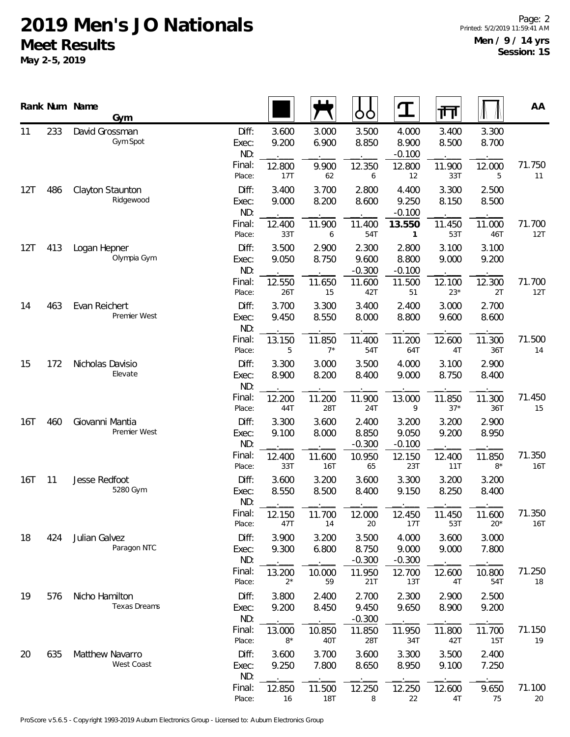|            |     | Rank Num Name<br>Gym            |                       |                 |                      | ÓО                         | ${\bf T}$                  | ग्ग             |                 | AA            |
|------------|-----|---------------------------------|-----------------------|-----------------|----------------------|----------------------------|----------------------------|-----------------|-----------------|---------------|
| 11         | 233 | David Grossman<br>Gym Spot      | Diff:<br>Exec:<br>ND: | 3.600<br>9.200  | 3.000<br>6.900       | 3.500<br>8.850             | 4.000<br>8.900<br>$-0.100$ | 3.400<br>8.500  | 3.300<br>8.700  |               |
|            |     |                                 | Final:<br>Place:      | 12.800<br>17T   | 9.900<br>62          | 12.350<br>6                | 12.800<br>12               | 11.900<br>33T   | 12.000<br>5     | 71.750<br>11  |
| 12T        | 486 | Clayton Staunton<br>Ridgewood   | Diff:<br>Exec:<br>ND: | 3.400<br>9.000  | 3.700<br>8.200       | 2.800<br>8.600             | 4.400<br>9.250<br>$-0.100$ | 3.300<br>8.150  | 2.500<br>8.500  |               |
|            |     |                                 | Final:<br>Place:      | 12.400<br>33T   | 11.900<br>6          | 11.400<br>54T              | 13.550<br>$\mathbf{1}$     | 11.450<br>53T   | 11.000<br>46T   | 71.700<br>12T |
| 12T        | 413 | Logan Hepner<br>Olympia Gym     | Diff:<br>Exec:<br>ND: | 3.500<br>9.050  | 2.900<br>8.750       | 2.300<br>9.600<br>$-0.300$ | 2.800<br>8.800<br>$-0.100$ | 3.100<br>9.000  | 3.100<br>9.200  |               |
|            |     |                                 | Final:<br>Place:      | 12.550<br>26T   | 11.650<br>15         | 11.600<br>42T              | 11.500<br>51               | 12.100<br>$23*$ | 12.300<br>2T    | 71.700<br>12T |
| 463<br>14  |     | Evan Reichert<br>Premier West   | Diff:<br>Exec:<br>ND: | 3.700<br>9.450  | 3.300<br>8.550       | 3.400<br>8.000             | 2.400<br>8.800             | 3.000<br>9.600  | 2.700<br>8.600  |               |
|            |     |                                 | Final:<br>Place:      | 13.150<br>5     | 11.850<br>$7*$       | 11.400<br>54T              | 11.200<br>64T              | 12.600<br>4T    | 11.300<br>36T   | 71.500<br>14  |
| 15         | 172 | Nicholas Davisio<br>Elevate     | Diff:<br>Exec:<br>ND: | 3.300<br>8.900  | 3.000<br>8.200       | 3.500<br>8.400             | 4.000<br>9.000             | 3.100<br>8.750  | 2.900<br>8.400  |               |
|            |     | Final:<br>Place:                | 12.200<br>44T         | 11.200<br>28T   | 11.900<br>24T        | 13.000<br>9                | 11.850<br>$37*$            | 11.300<br>36T   | 71.450<br>15    |               |
| <b>16T</b> | 460 | Giovanni Mantia<br>Premier West | Diff:<br>Exec:<br>ND: | 3.300<br>9.100  | 3.600<br>8.000       | 2.400<br>8.850<br>$-0.300$ | 3.200<br>9.050<br>$-0.100$ | 3.200<br>9.200  | 2.900<br>8.950  |               |
|            |     |                                 | Final:<br>Place:      | 12.400<br>33T   | 11.600<br><b>16T</b> | 10.950<br>65               | 12.150<br>23T              | 12.400<br>11T   | 11.850<br>$8*$  | 71.350<br>16T |
| 16T        | 11  | Jesse Redfoot<br>5280 Gym       | Diff:<br>Exec:<br>ND: | 3.600<br>8.550  | 3.200<br>8.500       | 3.600<br>8.400             | 3.300<br>9.150             | 3.200<br>8.250  | 3.200<br>8.400  |               |
|            |     |                                 | Final:<br>Place:      | 12.150<br>47T   | 11.700<br>14         | 12.000<br>20               | 12.450<br>17T              | 11.450<br>53T   | 11.600<br>$20*$ | 71.350<br>16T |
| 18         | 424 | Julian Galvez<br>Paragon NTC    | Diff:<br>Exec:<br>ND: | 3.900<br>9.300  | 3.200<br>6.800       | 3.500<br>8.750<br>$-0.300$ | 4.000<br>9.000<br>$-0.300$ | 3.600<br>9.000  | 3.000<br>7.800  |               |
|            |     |                                 | Final:<br>Place:      | 13.200<br>$2^*$ | 10.000<br>59         | 11.950<br>21T              | 12.700<br>13T              | 12.600<br>4T    | 10.800<br>54T   | 71.250<br>18  |
| 19         | 576 | Nicho Hamilton<br>Texas Dreams  | Diff:<br>Exec:<br>ND: | 3.800<br>9.200  | 2.400<br>8.450       | 2.700<br>9.450<br>$-0.300$ | 2.300<br>9.650             | 2.900<br>8.900  | 2.500<br>9.200  |               |
|            |     |                                 | Final:<br>Place:      | 13.000<br>$8*$  | 10.850<br>40T        | 11.850<br>28T              | 11.950<br>34T              | 11.800<br>42T   | 11.700<br>15T   | 71.150<br>19  |
| 20         | 635 | Matthew Navarro<br>West Coast   | Diff:<br>Exec:<br>ND: | 3.600<br>9.250  | 3.700<br>7.800       | 3.600<br>8.650             | 3.300<br>8.950             | 3.500<br>9.100  | 2.400<br>7.250  |               |
|            |     |                                 | Final:<br>Place:      | 12.850<br>16    | 11.500<br><b>18T</b> | 12.250<br>8                | 12.250<br>22               | 12.600<br>4T    | 9.650<br>75     | 71.100<br>20  |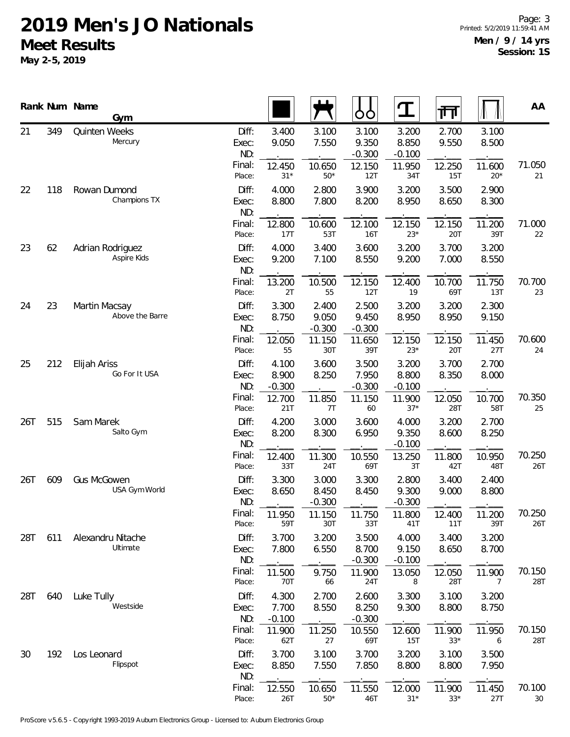|          |     | Rank Num Name<br>Gym                |                                 |                            |                            | ŌÒ                                   | ${\bf T}$                            | गि                       |                          | AA               |
|----------|-----|-------------------------------------|---------------------------------|----------------------------|----------------------------|--------------------------------------|--------------------------------------|--------------------------|--------------------------|------------------|
| 21       | 349 | Quinten Weeks<br>Mercury            | Diff:<br>Exec:<br>ND:<br>Final: | 3.400<br>9.050<br>12.450   | 3.100<br>7.550<br>10.650   | 3.100<br>9.350<br>$-0.300$<br>12.150 | 3.200<br>8.850<br>$-0.100$<br>11.950 | 2.700<br>9.550<br>12.250 | 3.100<br>8.500<br>11.600 | 71.050           |
|          |     |                                     | Place:                          | $31*$                      | $50*$                      | 12T                                  | 34T                                  | 15T                      | $20*$                    | 21               |
| 22       | 118 | Rowan Dumond<br>Champions TX        | Diff:<br>Exec:<br>ND:           | 4.000<br>8.800             | 2.800<br>7.800             | 3.900<br>8.200                       | 3.200<br>8.950                       | 3.500<br>8.650           | 2.900<br>8.300           |                  |
|          |     |                                     | Final:<br>Place:                | 12.800<br>17T              | 10.600<br>53T              | 12.100<br><b>16T</b>                 | 12.150<br>$23*$                      | 12.150<br>20T            | 11.200<br>39T            | 71.000<br>22     |
| 23       | 62  | Adrian Rodriguez<br>Aspire Kids     | Diff:<br>Exec:<br>ND:           | 4.000<br>9.200             | 3.400<br>7.100             | 3.600<br>8.550                       | 3.200<br>9.200                       | 3.700<br>7.000           | 3.200<br>8.550           |                  |
|          |     |                                     | Final:<br>Place:                | 13.200<br>2T               | 10.500<br>55               | 12.150<br>12T                        | 12.400<br>19                         | 10.700<br>69T            | 11.750<br>13T            | 70.700<br>23     |
| 23<br>24 |     | Martin Macsay<br>Above the Barre    | Diff:<br>Exec:<br>ND:           | 3.300<br>8.750             | 2.400<br>9.050<br>$-0.300$ | 2.500<br>9.450<br>$-0.300$           | 3.200<br>8.950                       | 3.200<br>8.950           | 2.300<br>9.150           |                  |
|          |     |                                     | Final:<br>Place:                | 12.050<br>55               | 11.150<br>30T              | 11.650<br>39T                        | 12.150<br>$23*$                      | 12.150<br>20T            | 11.450<br>27T            | 70.600<br>24     |
| 25       | 212 | Elijah Ariss<br>Go For It USA       | Diff:<br>Exec:<br>ND:           | 4.100<br>8.900<br>$-0.300$ | 3.600<br>8.250             | 3.500<br>7.950<br>$-0.300$           | 3.200<br>8.800<br>$-0.100$           | 3.700<br>8.350           | 2.700<br>8.000           |                  |
|          |     | Final:<br>Place:                    | 12.700<br>21T                   | 11.850<br>7T               | 11.150<br>60               | 11.900<br>$37*$                      | 12.050<br><b>28T</b>                 | 10.700<br>58T            | 70.350<br>25             |                  |
| 26T      | 515 | Sam Marek<br>Salto Gym              | Diff:<br>Exec:<br>ND:           | 4.200<br>8.200             | 3.000<br>8.300             | 3.600<br>6.950                       | 4.000<br>9.350<br>$-0.100$           | 3.200<br>8.600           | 2.700<br>8.250           |                  |
|          |     |                                     | Final:<br>Place:                | 12.400<br>33T              | 11.300<br>24T              | 10.550<br>69T                        | 13.250<br>3T                         | 11.800<br>42T            | 10.950<br>48T            | 70.250<br>26T    |
| 26T      | 609 | <b>Gus McGowen</b><br>USA Gym World | Diff:<br>Exec:<br>ND:           | 3.300<br>8.650             | 3.000<br>8.450<br>$-0.300$ | 3.300<br>8.450                       | 2.800<br>9.300<br>$-0.300$           | 3.400<br>9.000           | 2.400<br>8.800           |                  |
|          |     |                                     | Final:<br>Place:                | 11.950<br>59T              | 11.150<br>30T              | 11.750<br>33T                        | 11.800<br>41T                        | 12.400<br>11T            | 11.200<br>39T            | 70.250<br>26T    |
| 28T      | 611 | Alexandru Nitache<br>Ultimate       | Diff:<br>Exec:<br>ND:           | 3.700<br>7.800             | 3.200<br>6.550             | 3.500<br>8.700<br>$-0.300$           | 4.000<br>9.150<br>$-0.100$           | 3.400<br>8.650           | 3.200<br>8.700           |                  |
|          |     |                                     | Final:<br>Place:                | 11.500<br>70T              | 9.750<br>66                | 11.900<br>24T                        | 13.050<br>8                          | 12.050<br>28T            | 11.900<br>$\overline{7}$ | 70.150<br>28T    |
| 28T      | 640 | Luke Tully<br>Westside              | Diff:<br>Exec:<br>ND:           | 4.300<br>7.700<br>$-0.100$ | 2.700<br>8.550             | 2.600<br>8.250<br>$-0.300$           | 3.300<br>9.300                       | 3.100<br>8.800           | 3.200<br>8.750           |                  |
|          |     |                                     | Final:<br>Place:                | 11.900<br>62T              | 11.250<br>27               | 10.550<br>69T                        | 12.600<br>15T                        | 11.900<br>$33*$          | 11.950<br>6              | 70.150<br>28T    |
| 30       | 192 | Los Leonard<br>Flipspot             | Diff:<br>Exec:<br>ND:           | 3.700<br>8.850             | 3.100<br>7.550             | 3.700<br>7.850                       | 3.200<br>8.800                       | 3.100<br>8.800           | 3.500<br>7.950           |                  |
|          |     |                                     | Final:<br>Place:                | 12.550<br>26T              | 10.650<br>$50*$            | 11.550<br>46T                        | 12.000<br>$31*$                      | 11.900<br>$33*$          | 11.450<br>27T            | 70.100<br>$30\,$ |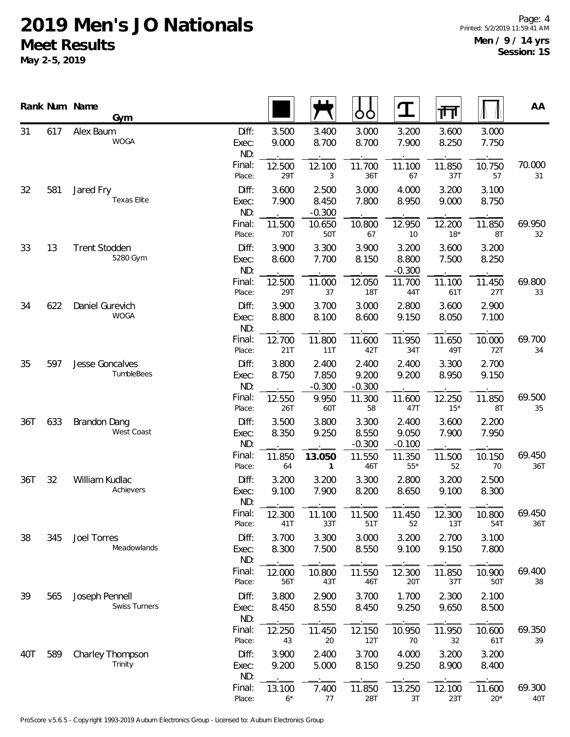|           |     | Rank Num Name<br>Gym                   |                       |                |                            | OO                         | $\mathbf T$                | 帀               |                 | AA            |
|-----------|-----|----------------------------------------|-----------------------|----------------|----------------------------|----------------------------|----------------------------|-----------------|-----------------|---------------|
| 31        | 617 | Alex Baum<br><b>WOGA</b>               | Diff:<br>Exec:<br>ND: | 3.500<br>9.000 | 3.400<br>8.700             | 3.000<br>8.700             | 3.200<br>7.900             | 3.600<br>8.250  | 3.000<br>7.750  |               |
|           |     |                                        | Final:<br>Place:      | 12.500<br>29T  | 12.100<br>3                | 11.700<br>36T              | 11.100<br>67               | 11.850<br>37T   | 10.750<br>57    | 70.000<br>31  |
| 32        | 581 | Jared Fry<br>Texas Elite               | Diff:<br>Exec:<br>ND: | 3.600<br>7.900 | 2.500<br>8.450<br>$-0.300$ | 3.000<br>7.800             | 4.000<br>8.950             | 3.200<br>9.000  | 3.100<br>8.750  |               |
|           |     |                                        | Final:<br>Place:      | 11.500<br>70T  | 10.650<br>50T              | 10.800<br>67               | 12.950<br>10               | 12.200<br>$18*$ | 11.850<br>8T    | 69.950<br>32  |
| 33        | 13  | <b>Trent Stodden</b><br>5280 Gym       | Diff:<br>Exec:<br>ND: | 3.900<br>8.600 | 3.300<br>7.700             | 3.900<br>8.150             | 3.200<br>8.800<br>$-0.300$ | 3.600<br>7.500  | 3.200<br>8.250  |               |
|           |     |                                        | Final:<br>Place:      | 12.500<br>29T  | 11.000<br>37               | 12.050<br><b>18T</b>       | 11.700<br>44T              | 11.100<br>61T   | 11.450<br>27T   | 69.800<br>33  |
| 622<br>34 |     | Daniel Gurevich<br><b>WOGA</b>         | Diff:<br>Exec:<br>ND: | 3.900<br>8.800 | 3.700<br>8.100             | 3.000<br>8.600             | 2.800<br>9.150             | 3.600<br>8.050  | 2.900<br>7.100  |               |
|           |     | Final:<br>Place:                       | 12.700<br>21T         | 11.800<br>11T  | 11.600<br>42T              | 11.950<br>34T              | 11.650<br>49T              | 10.000<br>72T   | 69.700<br>34    |               |
| 35        | 597 | Jesse Goncalves<br><b>TumbleBees</b>   | Diff:<br>Exec:<br>ND: | 3.800<br>8.750 | 2.400<br>7.850<br>$-0.300$ | 2.400<br>9.200<br>$-0.300$ | 2.400<br>9.200             | 3.300<br>8.950  | 2.700<br>9.150  |               |
|           |     |                                        | Final:<br>Place:      | 12.550<br>26T  | 9.950<br>60T               | 11.300<br>58               | 11.600<br>47T              | 12.250<br>$15*$ | 11.850<br>8T    | 69.500<br>35  |
| 36T       | 633 | Brandon Dang<br>West Coast             | Diff:<br>Exec:<br>ND: | 3.500<br>8.350 | 3.800<br>9.250             | 3.300<br>8.550<br>$-0.300$ | 2.400<br>9.050<br>$-0.100$ | 3.600<br>7.900  | 2.200<br>7.950  |               |
|           |     |                                        | Final:<br>Place:      | 11.850<br>64   | 13.050<br>$\mathbf{1}$     | 11.550<br>46T              | 11.350<br>$55*$            | 11.500<br>52    | 10.150<br>70    | 69.450<br>36T |
| 36T       | 32  | William Kudlac<br>Achievers            | Diff:<br>Exec:<br>ND: | 3.200<br>9.100 | 3.200<br>7.900             | 3.300<br>8.200             | 2.800<br>8.650             | 3.200<br>9.100  | 2.500<br>8.300  |               |
|           |     |                                        | Final:<br>Place:      | 12.300<br>41T  | 11.100<br>33T              | 11.500<br>51T              | 11.450<br>52               | 12.300<br>13T   | 10.800<br>54T   | 69.450<br>36T |
| 38        | 345 | Joel Torres<br>Meadowlands             | Diff:<br>Exec:<br>ND: | 3.700<br>8.300 | 3.300<br>7.500             | 3.000<br>8.550             | 3.200<br>9.100             | 2.700<br>9.150  | 3.100<br>7.800  |               |
|           |     |                                        | Final:<br>Place:      | 12.000<br>56T  | 10.800<br>43T              | 11.550<br>46T              | 12.300<br>20T              | 11.850<br>37T   | 10.900<br>50T   | 69.400<br>38  |
| 39        | 565 | Joseph Pennell<br><b>Swiss Turners</b> | Diff:<br>Exec:<br>ND: | 3.800<br>8.450 | 2.900<br>8.550             | 3.700<br>8.450             | 1.700<br>9.250             | 2.300<br>9.650  | 2.100<br>8.500  |               |
|           |     |                                        | Final:<br>Place:      | 12.250<br>43   | 11.450<br>20               | 12.150<br>12T              | 10.950<br>70               | 11.950<br>32    | 10.600<br>61T   | 69.350<br>39  |
| 40T       | 589 | Charley Thompson<br>Trinity            | Diff:<br>Exec:<br>ND: | 3.900<br>9.200 | 2.400<br>5.000             | 3.700<br>8.150             | 4.000<br>9.250             | 3.200<br>8.900  | 3.200<br>8.400  |               |
|           |     |                                        | Final:<br>Place:      | 13.100<br>$6*$ | 7.400<br>77                | 11.850<br>28T              | 13.250<br>3T               | 12.100<br>23T   | 11.600<br>$20*$ | 69.300<br>40T |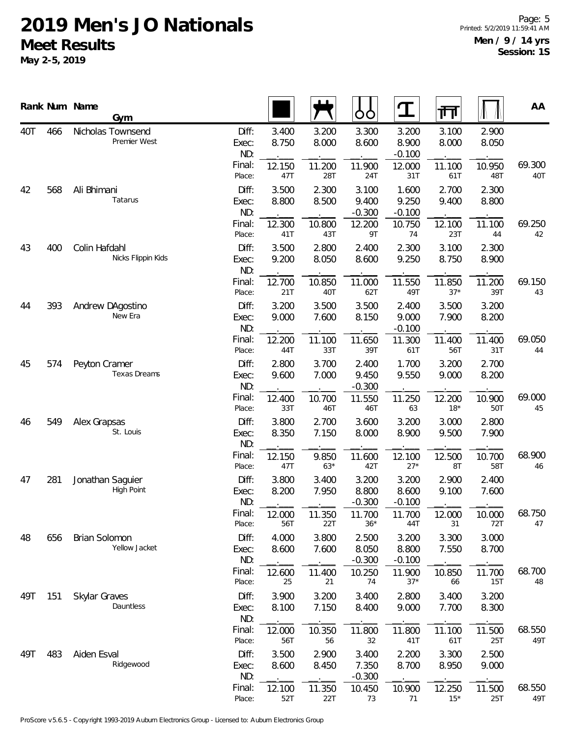|           |     | Rank Num Name | Gym                                   |                       |                |                | ŌÒ                         | ${\bf T}$                  | 帀               |                | AA            |
|-----------|-----|---------------|---------------------------------------|-----------------------|----------------|----------------|----------------------------|----------------------------|-----------------|----------------|---------------|
| 40T       | 466 |               | Nicholas Townsend<br>Premier West     | Diff:<br>Exec:<br>ND: | 3.400<br>8.750 | 3.200<br>8.000 | 3.300<br>8.600             | 3.200<br>8.900<br>$-0.100$ | 3.100<br>8.000  | 2.900<br>8.050 |               |
|           |     |               |                                       | Final:<br>Place:      | 12.150<br>47T  | 11.200<br>28T  | 11.900<br>24T              | 12.000<br>31T              | 11.100<br>61T   | 10.950<br>48T  | 69.300<br>40T |
| 42        | 568 | Ali Bhimani   | Tatarus                               | Diff:<br>Exec:<br>ND: | 3.500<br>8.800 | 2.300<br>8.500 | 3.100<br>9.400<br>$-0.300$ | 1.600<br>9.250<br>$-0.100$ | 2.700<br>9.400  | 2.300<br>8.800 |               |
|           |     |               |                                       | Final:<br>Place:      | 12.300<br>41T  | 10.800<br>43T  | 12.200<br>9T               | 10.750<br>74               | 12.100<br>23T   | 11.100<br>44   | 69.250<br>42  |
| 43        | 400 | Colin Hafdahl | Nicks Flippin Kids                    | Diff:<br>Exec:<br>ND: | 3.500<br>9.200 | 2.800<br>8.050 | 2.400<br>8.600             | 2.300<br>9.250             | 3.100<br>8.750  | 2.300<br>8.900 |               |
|           |     |               |                                       | Final:<br>Place:      | 12.700<br>21T  | 10.850<br>40T  | 11.000<br>62T              | 11.550<br>49T              | 11.850<br>$37*$ | 11.200<br>39T  | 69.150<br>43  |
| 393<br>44 |     |               | Andrew DAgostino<br>New Era           | Diff:<br>Exec:<br>ND: | 3.200<br>9.000 | 3.500<br>7.600 | 3.500<br>8.150             | 2.400<br>9.000<br>$-0.100$ | 3.500<br>7.900  | 3.200<br>8.200 |               |
|           |     |               | Final:<br>Place:                      | 12.200<br>44T         | 11.100<br>33T  | 11.650<br>39T  | 11.300<br>61T              | 11.400<br>56T              | 11.400<br>31T   | 69.050<br>44   |               |
| 45        | 574 | Peyton Cramer | Texas Dreams                          | Diff:<br>Exec:<br>ND: | 2.800<br>9.600 | 3.700<br>7.000 | 2.400<br>9.450<br>$-0.300$ | 1.700<br>9.550             | 3.200<br>9.000  | 2.700<br>8.200 |               |
|           |     |               | Final:<br>Place:                      | 12.400<br>33T         | 10.700<br>46T  | 11.550<br>46T  | 11.250<br>63               | 12.200<br>$18*$            | 10.900<br>50T   | 69.000<br>45   |               |
| 46        | 549 | Alex Grapsas  | St. Louis                             | Diff:<br>Exec:<br>ND: | 3.800<br>8.350 | 2.700<br>7.150 | 3.600<br>8.000             | 3.200<br>8.900             | 3.000<br>9.500  | 2.800<br>7.900 |               |
|           |     |               |                                       | Final:<br>Place:      | 12.150<br>47T  | 9.850<br>$63*$ | 11.600<br>42T              | 12.100<br>$27*$            | 12.500<br>8T    | 10.700<br>58T  | 68.900<br>46  |
| 47        | 281 |               | Jonathan Saguier<br><b>High Point</b> | Diff:<br>Exec:<br>ND: | 3.800<br>8.200 | 3.400<br>7.950 | 3.200<br>8.800<br>$-0.300$ | 3.200<br>8.600<br>$-0.100$ | 2.900<br>9.100  | 2.400<br>7.600 |               |
|           |     |               |                                       | Final:<br>Place:      | 12.000<br>56T  | 11.350<br>22T  | 11.700<br>$36*$            | 11.700<br>44T              | 12.000<br>31    | 10.000<br>72T  | 68.750<br>47  |
| 48        | 656 | Brian Solomon | Yellow Jacket                         | Diff:<br>Exec:<br>ND: | 4.000<br>8.600 | 3.800<br>7.600 | 2.500<br>8.050<br>$-0.300$ | 3.200<br>8.800<br>$-0.100$ | 3.300<br>7.550  | 3.000<br>8.700 |               |
|           |     |               |                                       | Final:<br>Place:      | 12.600<br>25   | 11.400<br>21   | 10.250<br>74               | 11.900<br>$37*$            | 10.850<br>66    | 11.700<br>15T  | 68.700<br>48  |
| 49T       | 151 | Skylar Graves | Dauntless                             | Diff:<br>Exec:<br>ND: | 3.900<br>8.100 | 3.200<br>7.150 | 3.400<br>8.400             | 2.800<br>9.000             | 3.400<br>7.700  | 3.200<br>8.300 |               |
|           |     |               |                                       | Final:<br>Place:      | 12.000<br>56T  | 10.350<br>56   | 11.800<br>32               | 11.800<br>41T              | 11.100<br>61T   | 11.500<br>25T  | 68.550<br>49T |
| 49T       | 483 | Aiden Esval   | Ridgewood                             | Diff:<br>Exec:<br>ND: | 3.500<br>8.600 | 2.900<br>8.450 | 3.400<br>7.350<br>$-0.300$ | 2.200<br>8.700             | 3.300<br>8.950  | 2.500<br>9.000 |               |
|           |     |               |                                       | Final:<br>Place:      | 12.100<br>52T  | 11.350<br>22T  | 10.450<br>73               | 10.900<br>71               | 12.250<br>$15*$ | 11.500<br>25T  | 68.550<br>49T |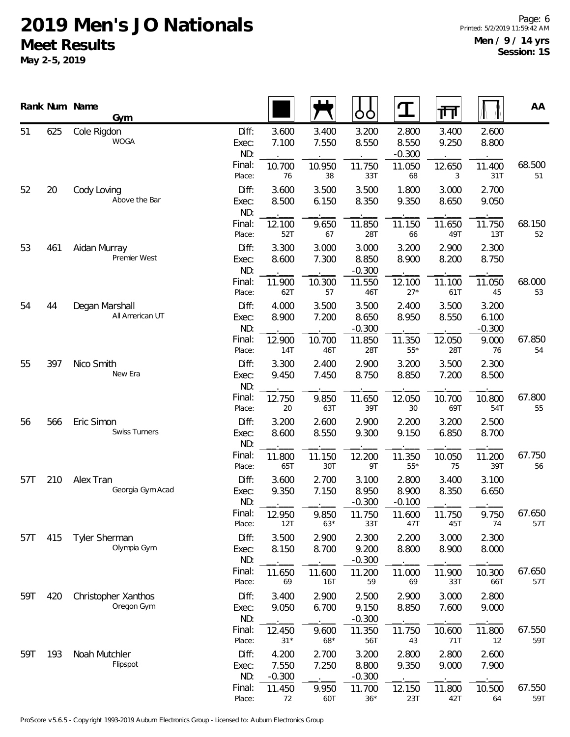|          |     | Rank Num Name<br>Gym               |                       |                            |                | ŌÒ                         | $\mathbf T$                | ना             |                            | AA            |
|----------|-----|------------------------------------|-----------------------|----------------------------|----------------|----------------------------|----------------------------|----------------|----------------------------|---------------|
| 51       | 625 | Cole Rigdon<br><b>WOGA</b>         | Diff:<br>Exec:<br>ND: | 3.600<br>7.100             | 3.400<br>7.550 | 3.200<br>8.550             | 2.800<br>8.550<br>$-0.300$ | 3.400<br>9.250 | 2.600<br>8.800             |               |
|          |     |                                    | Final:<br>Place:      | 10.700<br>76               | 10.950<br>38   | 11.750<br>33T              | 11.050<br>68               | 12.650<br>3    | 11.400<br>31T              | 68.500<br>51  |
| 52       | 20  | Cody Loving<br>Above the Bar       | Diff:<br>Exec:<br>ND: | 3.600<br>8.500             | 3.500<br>6.150 | 3.500<br>8.350             | 1.800<br>9.350             | 3.000<br>8.650 | 2.700<br>9.050             |               |
|          |     |                                    | Final:<br>Place:      | 12.100<br>52T              | 9.650<br>67    | 11.850<br>28T              | 11.150<br>66               | 11.650<br>49T  | 11.750<br>13T              | 68.150<br>52  |
| 53       | 461 | Aidan Murray<br>Premier West       | Diff:<br>Exec:<br>ND: | 3.300<br>8.600             | 3.000<br>7.300 | 3.000<br>8.850<br>$-0.300$ | 3.200<br>8.900             | 2.900<br>8.200 | 2.300<br>8.750             |               |
|          |     |                                    | Final:<br>Place:      | 11.900<br>62T              | 10.300<br>57   | 11.550<br>46T              | 12.100<br>$27*$            | 11.100<br>61T  | 11.050<br>45               | 68.000<br>53  |
| 54<br>44 |     | Degan Marshall<br>All American UT  | Diff:<br>Exec:<br>ND: | 4.000<br>8.900             | 3.500<br>7.200 | 3.500<br>8.650<br>$-0.300$ | 2.400<br>8.950             | 3.500<br>8.550 | 3.200<br>6.100<br>$-0.300$ |               |
|          |     | Final:<br>Place:                   | 12.900<br>14T         | 10.700<br>46T              | 11.850<br>28T  | 11.350<br>$55^{\star}$     | 12.050<br>28T              | 9.000<br>76    | 67.850<br>54               |               |
| 55       | 397 | Nico Smith<br>New Era              | Diff:<br>Exec:<br>ND: | 3.300<br>9.450             | 2.400<br>7.450 | 2.900<br>8.750             | 3.200<br>8.850             | 3.500<br>7.200 | 2.300<br>8.500             |               |
|          |     | Final:<br>Place:                   | 12.750<br>20          | 9.850<br>63T               | 11.650<br>39T  | 12.050<br>30               | 10.700<br>69T              | 10.800<br>54T  | 67.800<br>55               |               |
| 56       | 566 | Eric Simon<br><b>Swiss Turners</b> | Diff:<br>Exec:<br>ND: | 3.200<br>8.600             | 2.600<br>8.550 | 2.900<br>9.300             | 2.200<br>9.150             | 3.200<br>6.850 | 2.500<br>8.700             |               |
|          |     |                                    | Final:<br>Place:      | 11.800<br>65T              | 11.150<br>30T  | 12.200<br>9T               | 11.350<br>$55^{\star}$     | 10.050<br>75   | 11.200<br>39T              | 67.750<br>56  |
| 57T      | 210 | Alex Tran<br>Georgia Gym Acad      | Diff:<br>Exec:<br>ND: | 3.600<br>9.350             | 2.700<br>7.150 | 3.100<br>8.950<br>$-0.300$ | 2.800<br>8.900<br>$-0.100$ | 3.400<br>8.350 | 3.100<br>6.650             |               |
|          |     |                                    | Final:<br>Place:      | 12.950<br>12T              | 9.850<br>$63*$ | 11.750<br>33T              | 11.600<br>47T              | 11.750<br>45T  | 9.750<br>74                | 67.650<br>57T |
| 57T      | 415 | Tyler Sherman<br>Olympia Gym       | Diff:<br>Exec:<br>ND: | 3.500<br>8.150             | 2.900<br>8.700 | 2.300<br>9.200<br>$-0.300$ | 2.200<br>8.800             | 3.000<br>8.900 | 2.300<br>8.000             |               |
|          |     |                                    | Final:<br>Place:      | 11.650<br>69               | 11.600<br>16T  | 11.200<br>59               | 11.000<br>69               | 11.900<br>33T  | 10.300<br>66T              | 67.650<br>57T |
| 59T      | 420 | Christopher Xanthos<br>Oregon Gym  | Diff:<br>Exec:<br>ND: | 3.400<br>9.050             | 2.900<br>6.700 | 2.500<br>9.150<br>$-0.300$ | 2.900<br>8.850             | 3.000<br>7.600 | 2.800<br>9.000             |               |
|          |     |                                    | Final:<br>Place:      | 12.450<br>$31*$            | 9.600<br>68*   | 11.350<br>56T              | 11.750<br>43               | 10.600<br>71T  | 11.800<br>12               | 67.550<br>59T |
| 59T      | 193 | Noah Mutchler<br>Flipspot          | Diff:<br>Exec:<br>ND: | 4.200<br>7.550<br>$-0.300$ | 2.700<br>7.250 | 3.200<br>8.800<br>$-0.300$ | 2.800<br>9.350             | 2.800<br>9.000 | 2.600<br>7.900             |               |
|          |     |                                    | Final:<br>Place:      | 11.450<br>72               | 9.950<br>60T   | 11.700<br>$36*$            | 12.150<br>23T              | 11.800<br>42T  | 10.500<br>64               | 67.550<br>59T |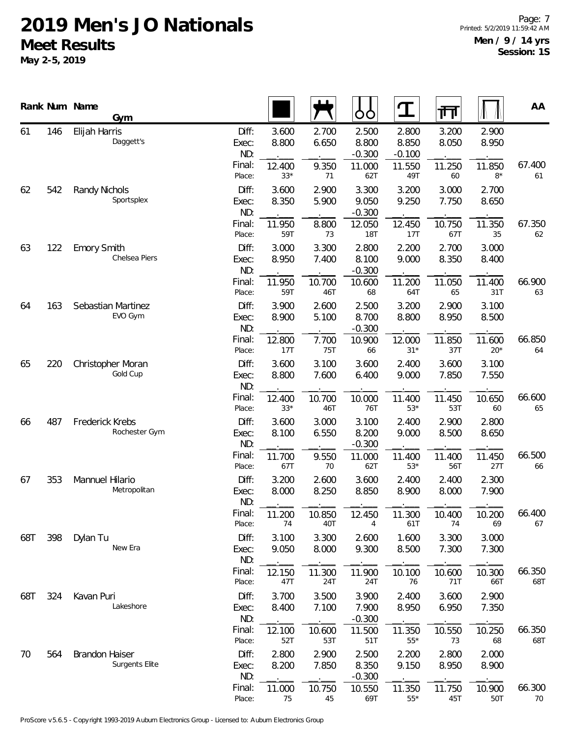|           |     | Rank Num Name<br>Gym                           |                       |                 |                | OO                         | $\mathbf T$                | 帀               |                | AA            |
|-----------|-----|------------------------------------------------|-----------------------|-----------------|----------------|----------------------------|----------------------------|-----------------|----------------|---------------|
| 61        | 146 | Elijah Harris<br>Daggett's                     | Diff:<br>Exec:<br>ND: | 3.600<br>8.800  | 2.700<br>6.650 | 2.500<br>8.800<br>$-0.300$ | 2.800<br>8.850<br>$-0.100$ | 3.200<br>8.050  | 2.900<br>8.950 |               |
|           |     |                                                | Final:<br>Place:      | 12.400<br>$33*$ | 9.350<br>71    | 11.000<br>62T              | 11.550<br>49T              | 11.250<br>60    | 11.850<br>$8*$ | 67.400<br>61  |
| 62        | 542 | Randy Nichols<br>Sportsplex                    | Diff:<br>Exec:<br>ND: | 3.600<br>8.350  | 2.900<br>5.900 | 3.300<br>9.050<br>$-0.300$ | 3.200<br>9.250             | 3.000<br>7.750  | 2.700<br>8.650 |               |
|           |     |                                                | Final:<br>Place:      | 11.950<br>59T   | 8.800<br>73    | 12.050<br><b>18T</b>       | 12.450<br>17T              | 10.750<br>67T   | 11.350<br>35   | 67.350<br>62  |
| 63        | 122 | <b>Emory Smith</b><br>Chelsea Piers            | Diff:<br>Exec:<br>ND: | 3.000<br>8.950  | 3.300<br>7.400 | 2.800<br>8.100<br>$-0.300$ | 2.200<br>9.000             | 2.700<br>8.350  | 3.000<br>8.400 |               |
|           |     |                                                | Final:<br>Place:      | 11.950<br>59T   | 10.700<br>46T  | 10.600<br>68               | 11.200<br>64T              | 11.050<br>65    | 11.400<br>31T  | 66.900<br>63  |
| 163<br>64 |     | Sebastian Martinez<br>EVO Gym                  | Diff:<br>Exec:<br>ND: | 3.900<br>8.900  | 2.600<br>5.100 | 2.500<br>8.700<br>$-0.300$ | 3.200<br>8.800             | 2.900<br>8.950  | 3.100<br>8.500 |               |
|           |     | Final:<br>Place:                               | 12.800<br>17T         | 7.700<br>75T    | 10.900<br>66   | 12.000<br>$31*$            | 11.850<br>37T              | 11.600<br>$20*$ | 66.850<br>64   |               |
| 65        | 220 | Christopher Moran<br>Gold Cup                  | Diff:<br>Exec:<br>ND: | 3.600<br>8.800  | 3.100<br>7.600 | 3.600<br>6.400             | 2.400<br>9.000             | 3.600<br>7.850  | 3.100<br>7.550 |               |
|           |     | Final:<br>Place:                               | 12.400<br>$33*$       | 10.700<br>46T   | 10.000<br>76T  | 11.400<br>$53*$            | 11.450<br>53T              | 10.650<br>60    | 66.600<br>65   |               |
| 66        | 487 | Frederick Krebs<br>Rochester Gym               | Diff:<br>Exec:<br>ND: | 3.600<br>8.100  | 3.000<br>6.550 | 3.100<br>8.200<br>$-0.300$ | 2.400<br>9.000             | 2.900<br>8.500  | 2.800<br>8.650 |               |
|           |     |                                                | Final:<br>Place:      | 11.700<br>67T   | 9.550<br>70    | 11.000<br>62T              | 11.400<br>$53*$            | 11.400<br>56T   | 11.450<br>27T  | 66.500<br>66  |
| 67        | 353 | Mannuel Hilario<br>Metropolitan                | Diff:<br>Exec:<br>ND: | 3.200<br>8.000  | 2.600<br>8.250 | 3.600<br>8.850             | 2.400<br>8.900             | 2.400<br>8.000  | 2.300<br>7.900 |               |
|           |     |                                                | Final:<br>Place:      | 11.200<br>74    | 10.850<br>40T  | 12.450<br>4                | 11.300<br>61T              | 10.400<br>74    | 10.200<br>69   | 66.400<br>67  |
| 68T       | 398 | Dylan Tu<br>New Era                            | Diff:<br>Exec:<br>ND: | 3.100<br>9.050  | 3.300<br>8.000 | 2.600<br>9.300             | 1.600<br>8.500             | 3.300<br>7.300  | 3.000<br>7.300 |               |
|           |     |                                                | Final:<br>Place:      | 12.150<br>47T   | 11.300<br>24T  | 11.900<br>24T              | 10.100<br>76               | 10.600<br>71T   | 10.300<br>66T  | 66.350<br>68T |
| 68T       | 324 | Kavan Puri<br>Lakeshore                        | Diff:<br>Exec:<br>ND: | 3.700<br>8.400  | 3.500<br>7.100 | 3.900<br>7.900<br>$-0.300$ | 2.400<br>8.950             | 3.600<br>6.950  | 2.900<br>7.350 |               |
|           |     |                                                | Final:<br>Place:      | 12.100<br>52T   | 10.600<br>53T  | 11.500<br>51T              | 11.350<br>$55*$            | 10.550<br>73    | 10.250<br>68   | 66.350<br>68T |
| 70        | 564 | <b>Brandon Haiser</b><br><b>Surgents Elite</b> | Diff:<br>Exec:<br>ND: | 2.800<br>8.200  | 2.900<br>7.850 | 2.500<br>8.350<br>$-0.300$ | 2.200<br>9.150             | 2.800<br>8.950  | 2.000<br>8.900 |               |
|           |     |                                                | Final:<br>Place:      | 11.000<br>75    | 10.750<br>45   | 10.550<br>69T              | 11.350<br>$55*$            | 11.750<br>45T   | 10.900<br>50T  | 66.300<br>70  |